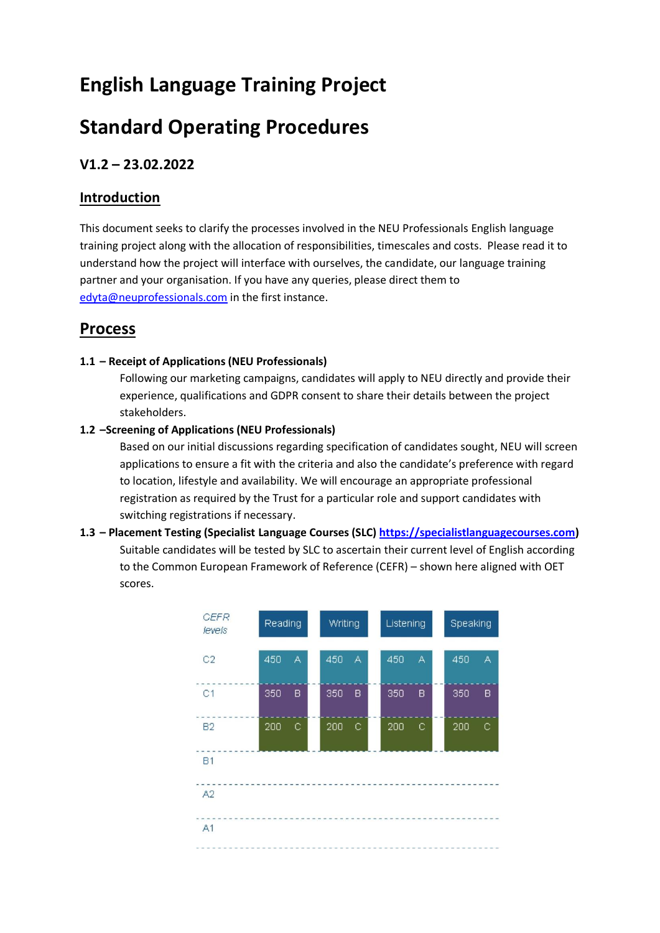# **English Language Training Project**

# **Standard Operating Procedures**

## **V1.2 – 23.02.2022**

### **Introduction**

This document seeks to clarify the processes involved in the NEU Professionals English language training project along with the allocation of responsibilities, timescales and costs. Please read it to understand how the project will interface with ourselves, the candidate, our language training partner and your organisation. If you have any queries, please direct them to [edyta@neuprofessionals.com](mailto:edyta@neuprofessionals.com) in the first instance.

# **Process**

#### **1.1 – Receipt of Applications (NEU Professionals)**

Following our marketing campaigns, candidates will apply to NEU directly and provide their experience, qualifications and GDPR consent to share their details between the project stakeholders.

#### **1.2 –Screening of Applications (NEU Professionals)**

Based on our initial discussions regarding specification of candidates sought, NEU will screen applications to ensure a fit with the criteria and also the candidate's preference with regard to location, lifestyle and availability. We will encourage an appropriate professional registration as required by the Trust for a particular role and support candidates with switching registrations if necessary.

### **1.3 – Placement Testing (Specialist Language Courses (SLC) [https://specialistlanguagecourses.com\)](https://specialistlanguagecourses.com/)** Suitable candidates will be tested by SLC to ascertain their current level of English according to the Common European Framework of Reference (CEFR) – shown here aligned with OET scores.

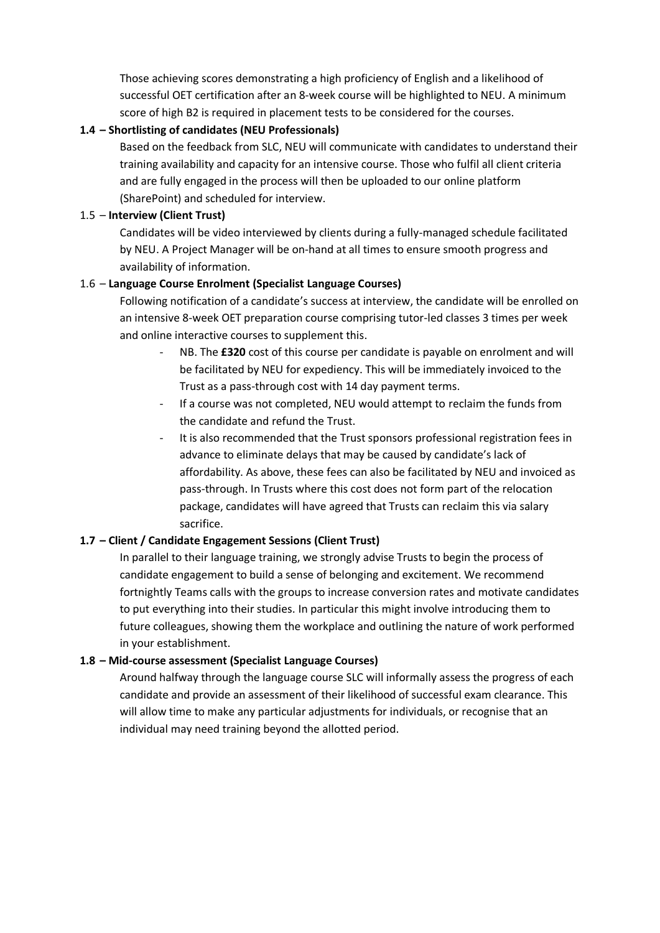Those achieving scores demonstrating a high proficiency of English and a likelihood of successful OET certification after an 8-week course will be highlighted to NEU. A minimum score of high B2 is required in placement tests to be considered for the courses.

#### **1.4 – Shortlisting of candidates (NEU Professionals)**

Based on the feedback from SLC, NEU will communicate with candidates to understand their training availability and capacity for an intensive course. Those who fulfil all client criteria and are fully engaged in the process will then be uploaded to our online platform (SharePoint) and scheduled for interview.

#### 1.5 – **Interview (Client Trust)**

Candidates will be video interviewed by clients during a fully-managed schedule facilitated by NEU. A Project Manager will be on-hand at all times to ensure smooth progress and availability of information.

#### 1.6 – **Language Course Enrolment (Specialist Language Courses)**

Following notification of a candidate's success at interview, the candidate will be enrolled on an intensive 8-week OET preparation course comprising tutor-led classes 3 times per week and online interactive courses to supplement this.

- NB. The £320 cost of this course per candidate is payable on enrolment and will be facilitated by NEU for expediency. This will be immediately invoiced to the Trust as a pass-through cost with 14 day payment terms.
- If a course was not completed, NEU would attempt to reclaim the funds from the candidate and refund the Trust.
- It is also recommended that the Trust sponsors professional registration fees in advance to eliminate delays that may be caused by candidate's lack of affordability. As above, these fees can also be facilitated by NEU and invoiced as pass-through. In Trusts where this cost does not form part of the relocation package, candidates will have agreed that Trusts can reclaim this via salary sacrifice.

#### **1.7 – Client / Candidate Engagement Sessions (Client Trust)**

In parallel to their language training, we strongly advise Trusts to begin the process of candidate engagement to build a sense of belonging and excitement. We recommend fortnightly Teams calls with the groups to increase conversion rates and motivate candidates to put everything into their studies. In particular this might involve introducing them to future colleagues, showing them the workplace and outlining the nature of work performed in your establishment.

#### **1.8 – Mid-course assessment (Specialist Language Courses)**

Around halfway through the language course SLC will informally assess the progress of each candidate and provide an assessment of their likelihood of successful exam clearance. This will allow time to make any particular adjustments for individuals, or recognise that an individual may need training beyond the allotted period.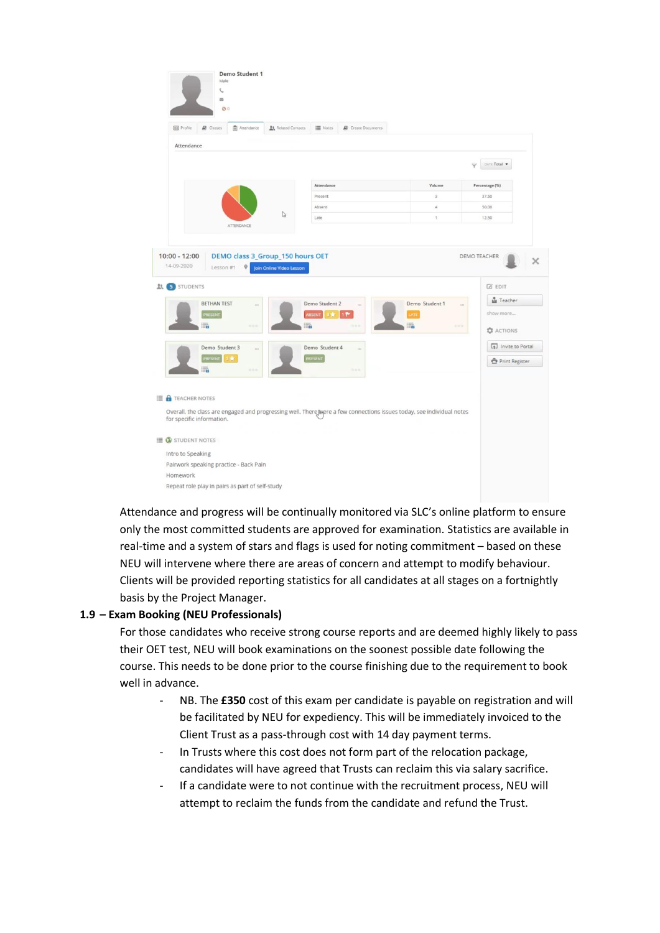| <b>自 Attendance</b><br><b>E1</b> Profile<br><b>B</b> Classes                               | Related Contacts                                             | III Notes<br>Create Documents                                                                                         |                |                                                                    |
|--------------------------------------------------------------------------------------------|--------------------------------------------------------------|-----------------------------------------------------------------------------------------------------------------------|----------------|--------------------------------------------------------------------|
| Attendance                                                                                 |                                                              |                                                                                                                       |                |                                                                    |
|                                                                                            |                                                              |                                                                                                                       |                | DATE: Total                                                        |
|                                                                                            |                                                              |                                                                                                                       |                |                                                                    |
|                                                                                            |                                                              | Attendance                                                                                                            | Volume         | Percentage (%)                                                     |
|                                                                                            |                                                              | Present                                                                                                               | $\overline{3}$ | 37.50                                                              |
|                                                                                            |                                                              | Absent                                                                                                                | $\Delta$       | 50.00                                                              |
| ATTENDANCE                                                                                 | $\mathbb{Q}$                                                 | Late                                                                                                                  | $\uparrow$     | 12.50                                                              |
| $\mathsf{Q}$<br>Lesson #1<br><b>BETHAN TEST</b>                                            | DEMO class 3_Group_150 hours OET<br>Join Online Video Lesson | Demo Student 2<br><b>ABSENT</b><br>17                                                                                 | Demo Student 1 | DEMO TEACHER<br><b>Z EDIT</b><br>Ma Teacher<br>$\sim$<br>show more |
| PRESENT<br>H.                                                                              | 語                                                            | 3读:                                                                                                                   | LATE<br>E.     | $+ - -$<br><b>Q</b> ACTIONS                                        |
| $10:00 - 12:00$<br>14-09-2020<br><b>Lt.</b> 5 STUDENTS<br>Demo Student 3<br>PRESENT<br>3 黄 |                                                              | Demo Student 4<br><br>PRESENT                                                                                         |                | [p] Invite to Portal<br>Print Register                             |
| <br>\$1.50                                                                                 |                                                              | $-0.0$                                                                                                                |                |                                                                    |
| <b>B</b> TEACHER NOTES<br>for specific information.                                        |                                                              | Overall, the class are engaged and progressing well. There [Mere a few connections issues today, see individual notes |                |                                                                    |
| $\mathbf{E}$ <b>STUDENT NOTES</b>                                                          |                                                              |                                                                                                                       |                |                                                                    |

Attendance and progress will be continually monitored via SLC's online platform to ensure only the most committed students are approved for examination. Statistics are available in real-time and a system of stars and flags is used for noting commitment – based on these NEU will intervene where there are areas of concern and attempt to modify behaviour. Clients will be provided reporting statistics for all candidates at all stages on a fortnightly basis by the Project Manager.

#### **1.9 – Exam Booking (NEU Professionals)**

For those candidates who receive strong course reports and are deemed highly likely to pass their OET test, NEU will book examinations on the soonest possible date following the course. This needs to be done prior to the course finishing due to the requirement to book well in advance.

- NB. The **£350** cost of this exam per candidate is payable on registration and will be facilitated by NEU for expediency. This will be immediately invoiced to the Client Trust as a pass-through cost with 14 day payment terms.
- In Trusts where this cost does not form part of the relocation package, candidates will have agreed that Trusts can reclaim this via salary sacrifice.
- If a candidate were to not continue with the recruitment process, NEU will attempt to reclaim the funds from the candidate and refund the Trust.